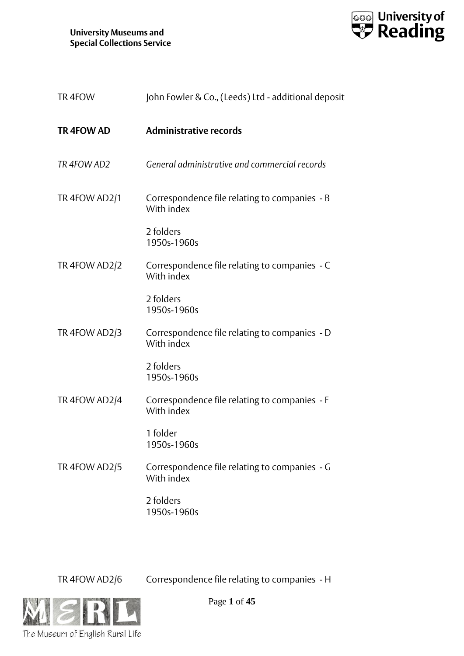

| TR4FOW            | John Fowler & Co., (Leeds) Ltd - additional deposit         |
|-------------------|-------------------------------------------------------------|
| <b>TR 4FOW AD</b> | <b>Administrative records</b>                               |
| TR 4FOW AD2       | General administrative and commercial records               |
| TR 4FOW AD2/1     | Correspondence file relating to companies - B<br>With index |
|                   | 2 folders<br>1950s-1960s                                    |
| TR 4FOW AD2/2     | Correspondence file relating to companies - C<br>With index |
|                   | 2 folders<br>1950s-1960s                                    |
| TR 4FOW AD2/3     | Correspondence file relating to companies - D<br>With index |
|                   | 2 folders<br>1950s-1960s                                    |
| TR 4FOW AD2/4     | Correspondence file relating to companies - F<br>With index |
|                   | 1 folder<br>1950s-1960s                                     |
| TR 4FOW AD2/5     | Correspondence file relating to companies - G<br>With index |
|                   | 2 folders<br>1950s-1960s                                    |

TR 4FOW AD2/6 Correspondence file relating to companies - H



Page **1** of **45**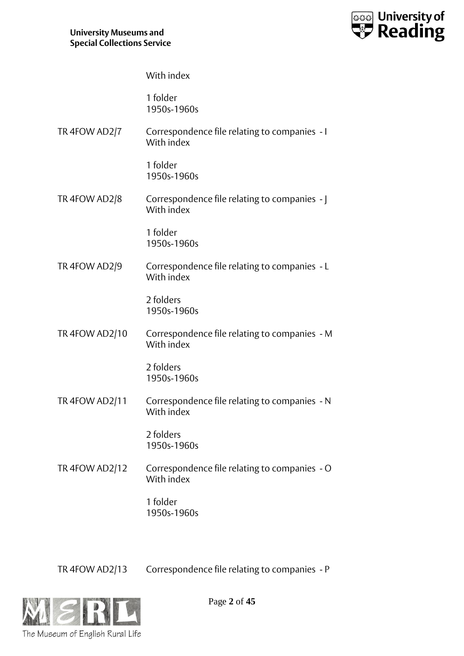

With index

1 folder 1950s-1960s

TR 4FOW AD2/7 Correspondence file relating to companies - I With index

> 1 folder 1950s-1960s

TR 4FOW AD2/8 Correspondence file relating to companies - J With index

> 1 folder 1950s-1960s

TR 4FOW AD2/9 Correspondence file relating to companies - L With index

> 2 folders 1950s-1960s

TR 4FOW AD2/10 Correspondence file relating to companies - M With index

> 2 folders 1950s-1960s

TR 4FOW AD2/11 Correspondence file relating to companies - N With index

> 2 folders 1950s-1960s

TR 4FOW AD2/12 Correspondence file relating to companies - O With index

> 1 folder 1950s-1960s

TR 4FOW AD2/13 Correspondence file relating to companies - P

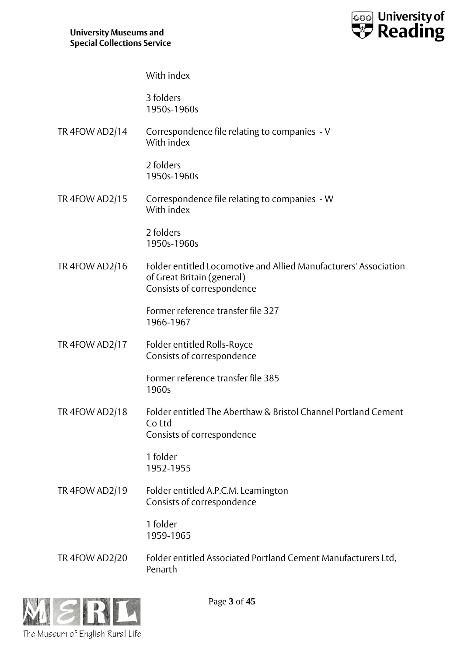

With index

3 folders 1950s-1960s

TR 4FOW AD2/14 Correspondence file relating to companies - V With index

> 2 folders 1950s-1960s

TR 4FOW AD2/15 Correspondence file relating to companies - W With index

> 2 folders 1950s-1960s

TR 4FOW AD2/16 Folder entitled Locomotive and Allied Manufacturers' Association of Great Britain (general) Consists of correspondence

> Former reference transfer file 327 1966-1967

TR 4FOW AD2/17 Folder entitled Rolls-Royce Consists of correspondence

> Former reference transfer file 385 1960s

TR 4FOW AD2/18 Folder entitled The Aberthaw & Bristol Channel Portland Cement Co Ltd Consists of correspondence

> 1 folder 1952-1955

TR 4FOW AD2/19 Folder entitled A.P.C.M. Leamington Consists of correspondence

> 1 folder 1959-1965

TR 4FOW AD2/20 Folder entitled Associated Portland Cement Manufacturers Ltd, Penarth



Page **3** of **45**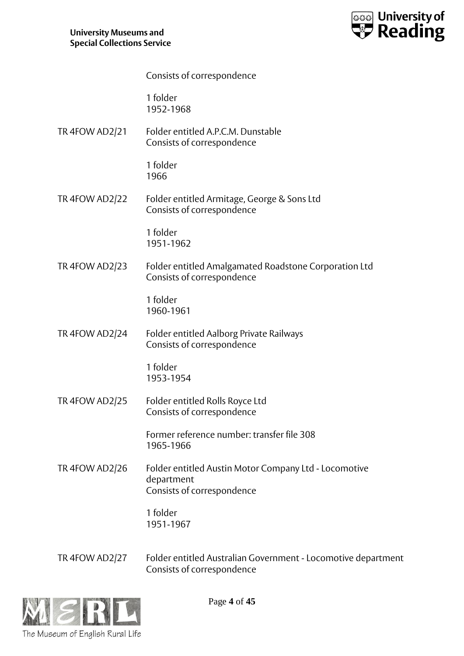

|                       | Consists of correspondence                                                                        |
|-----------------------|---------------------------------------------------------------------------------------------------|
|                       | 1 folder<br>1952-1968                                                                             |
| <b>TR 4FOW AD2/21</b> | Folder entitled A.P.C.M. Dunstable<br>Consists of correspondence                                  |
|                       | 1 folder<br>1966                                                                                  |
| <b>TR 4FOW AD2/22</b> | Folder entitled Armitage, George & Sons Ltd<br>Consists of correspondence                         |
|                       | 1 folder<br>1951-1962                                                                             |
| TR 4FOW AD2/23        | Folder entitled Amalgamated Roadstone Corporation Ltd<br>Consists of correspondence               |
|                       | 1 folder<br>1960-1961                                                                             |
| TR 4FOW AD2/24        | Folder entitled Aalborg Private Railways<br>Consists of correspondence                            |
|                       | 1 folder<br>1953-1954                                                                             |
| <b>TR 4FOW AD2/25</b> | Folder entitled Rolls Royce Ltd<br>Consists of correspondence                                     |
|                       | Former reference number: transfer file 308<br>1965-1966                                           |
| TR 4FOW AD2/26        | Folder entitled Austin Motor Company Ltd - Locomotive<br>department<br>Consists of correspondence |
|                       | 1 folder<br>1951-1967                                                                             |
| TR 4FOW AD2/27        | Folder entitled Australian Government - Locomotive department<br>Consists of correspondence       |



Page **4** of **45**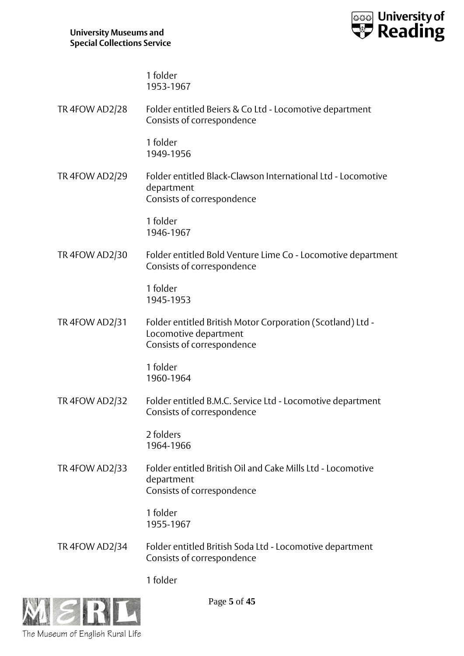

1 folder 1953-1967

TR 4FOW AD2/28 Folder entitled Beiers & Co Ltd - Locomotive department Consists of correspondence 1 folder 1949-1956 TR 4FOW AD2/29 Folder entitled Black-Clawson International Ltd - Locomotive department Consists of correspondence 1 folder 1946-1967 TR 4FOW AD2/30 Folder entitled Bold Venture Lime Co - Locomotive department Consists of correspondence 1 folder 1945-1953 TR 4FOW AD2/31 Folder entitled British Motor Corporation (Scotland) Ltd - Locomotive department Consists of correspondence 1 folder 1960-1964 TR 4FOW AD2/32 Folder entitled B.M.C. Service Ltd - Locomotive department Consists of correspondence 2 folders 1964-1966 TR 4FOW AD2/33 Folder entitled British Oil and Cake Mills Ltd - Locomotive department Consists of correspondence 1 folder 1955-1967 TR 4FOW AD2/34 Folder entitled British Soda Ltd - Locomotive department Consists of correspondence 1 folder



Page **5** of **45**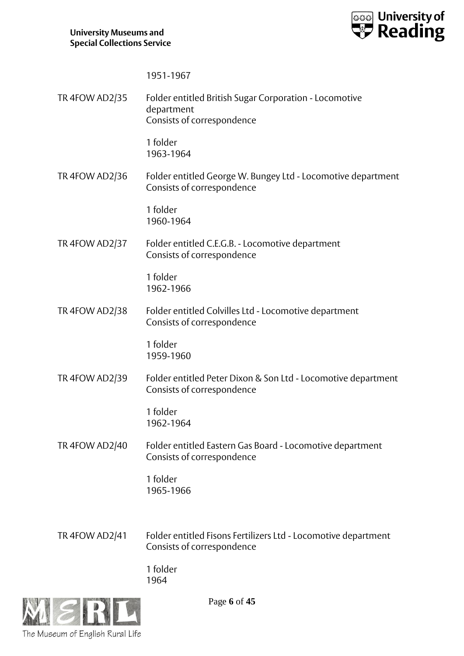

1951-1967

TR 4FOW AD2/35 Folder entitled British Sugar Corporation - Locomotive department Consists of correspondence 1 folder 1963-1964 TR 4FOW AD2/36 Folder entitled George W. Bungey Ltd - Locomotive department Consists of correspondence 1 folder 1960-1964 TR 4FOW AD2/37 Folder entitled C.E.G.B. - Locomotive department Consists of correspondence 1 folder 1962-1966 TR 4FOW AD2/38 Folder entitled Colvilles Ltd - Locomotive department Consists of correspondence 1 folder 1959-1960 TR 4FOW AD2/39 Folder entitled Peter Dixon & Son Ltd - Locomotive department Consists of correspondence 1 folder 1962-1964 TR 4FOW AD2/40 Folder entitled Eastern Gas Board - Locomotive department Consists of correspondence 1 folder 1965-1966 TR 4FOW AD2/41 Folder entitled Fisons Fertilizers Ltd - Locomotive department Consists of correspondence 1 folder

1964



Page **6** of **45**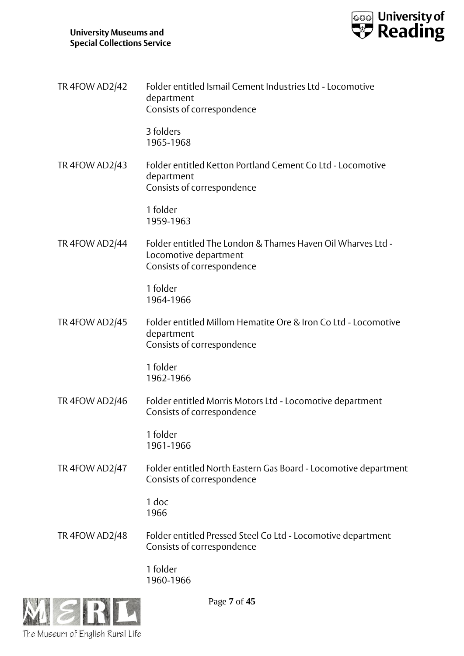

| <b>TR 4FOW AD2/42</b> | Folder entitled Ismail Cement Industries Ltd - Locomotive<br>department<br>Consists of correspondence              |
|-----------------------|--------------------------------------------------------------------------------------------------------------------|
|                       | 3 folders<br>1965-1968                                                                                             |
| <b>TR 4FOW AD2/43</b> | Folder entitled Ketton Portland Cement Co Ltd - Locomotive<br>department<br>Consists of correspondence             |
|                       | 1 folder<br>1959-1963                                                                                              |
| <b>TR 4FOW AD2/44</b> | Folder entitled The London & Thames Haven Oil Wharves Ltd -<br>Locomotive department<br>Consists of correspondence |
|                       | 1 folder<br>1964-1966                                                                                              |
| <b>TR 4FOW AD2/45</b> | Folder entitled Millom Hematite Ore & Iron Co Ltd - Locomotive<br>department<br>Consists of correspondence         |
|                       | 1 folder<br>1962-1966                                                                                              |
| <b>TR 4FOW AD2/46</b> | Folder entitled Morris Motors Ltd - Locomotive department<br>Consists of correspondence                            |
|                       | 1 folder<br>1961-1966                                                                                              |
| TR 4FOW AD2/47        | Folder entitled North Eastern Gas Board - Locomotive department<br>Consists of correspondence                      |
|                       | 1 doc<br>1966                                                                                                      |
| <b>TR 4FOW AD2/48</b> | Folder entitled Pressed Steel Co Ltd - Locomotive department<br>Consists of correspondence                         |
|                       | 1 folder<br>1960-1966                                                                                              |



Page **7** of **45**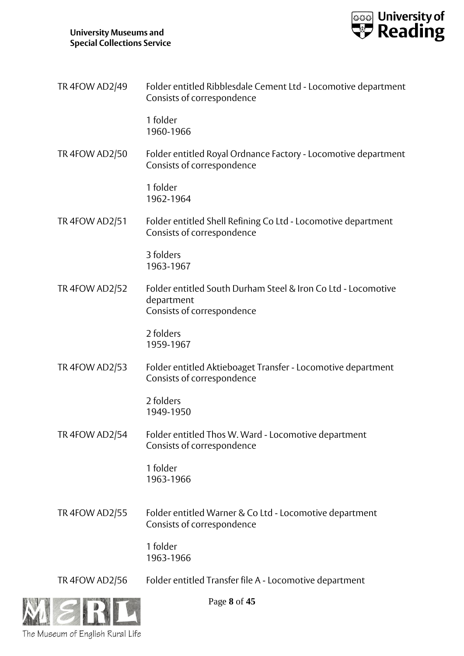

| TR 4FOW AD2/49 | Folder entitled Ribblesdale Cement Ltd - Locomotive department<br>Consists of correspondence              |
|----------------|-----------------------------------------------------------------------------------------------------------|
|                | 1 folder<br>1960-1966                                                                                     |
| TR 4FOW AD2/50 | Folder entitled Royal Ordnance Factory - Locomotive department<br>Consists of correspondence              |
|                | 1 folder<br>1962-1964                                                                                     |
| TR 4FOW AD2/51 | Folder entitled Shell Refining Co Ltd - Locomotive department<br>Consists of correspondence               |
|                | 3 folders<br>1963-1967                                                                                    |
| TR 4FOW AD2/52 | Folder entitled South Durham Steel & Iron Co Ltd - Locomotive<br>department<br>Consists of correspondence |
|                | 2 folders<br>1959-1967                                                                                    |
| TR 4FOW AD2/53 | Folder entitled Aktieboaget Transfer - Locomotive department<br>Consists of correspondence                |
|                | 2 folders<br>1949-1950                                                                                    |
| TR 4FOW AD2/54 | Folder entitled Thos W. Ward - Locomotive department<br>Consists of correspondence                        |
|                | 1 folder<br>1963-1966                                                                                     |
| TR 4FOW AD2/55 | Folder entitled Warner & Co Ltd - Locomotive department<br>Consists of correspondence                     |
|                | 1 folder<br>1963-1966                                                                                     |
| TR 4FOW AD2/56 | Folder entitled Transfer file A - Locomotive department                                                   |



Page **8** of **45**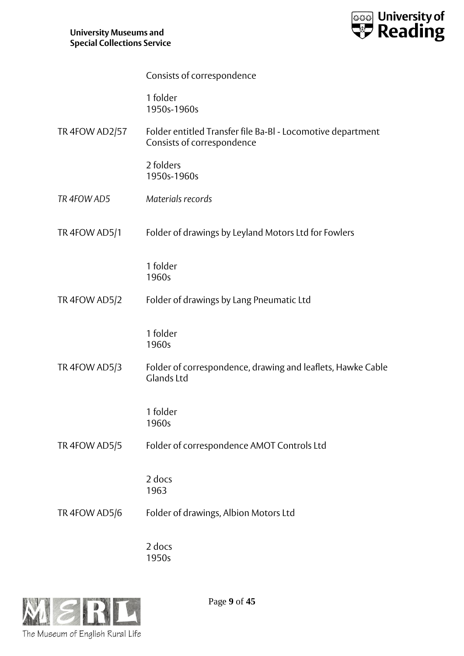

|                | Consists of correspondence                                                                |
|----------------|-------------------------------------------------------------------------------------------|
|                | 1 folder<br>1950s-1960s                                                                   |
| TR 4FOW AD2/57 | Folder entitled Transfer file Ba-Bl - Locomotive department<br>Consists of correspondence |
|                | 2 folders<br>1950s-1960s                                                                  |
| TR 4FOW AD5    | Materials records                                                                         |
| TR 4FOW AD5/1  | Folder of drawings by Leyland Motors Ltd for Fowlers                                      |
|                | 1 folder<br>1960s                                                                         |
| TR 4FOW AD5/2  | Folder of drawings by Lang Pneumatic Ltd                                                  |
|                | 1 folder<br>1960s                                                                         |
| TR 4FOW AD5/3  | Folder of correspondence, drawing and leaflets, Hawke Cable<br><b>Glands Ltd</b>          |
|                | 1 folder<br>1960s                                                                         |
| TR 4FOW AD5/5  | Folder of correspondence AMOT Controls Ltd                                                |
|                | 2 docs<br>1963                                                                            |
| TR 4FOW AD5/6  | Folder of drawings, Albion Motors Ltd                                                     |
|                |                                                                                           |

2 docs 1950s



Page **9** of **45**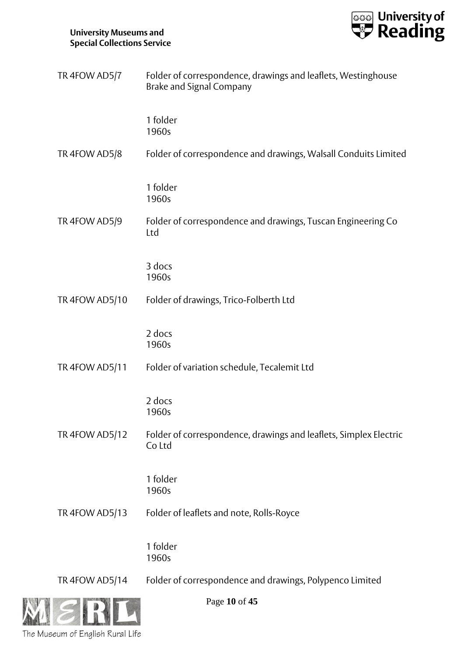

| TR 4FOW AD5/7  | Folder of correspondence, drawings and leaflets, Westinghouse<br><b>Brake and Signal Company</b> |
|----------------|--------------------------------------------------------------------------------------------------|
|                | 1 folder<br>1960s                                                                                |
| TR 4FOW AD5/8  | Folder of correspondence and drawings, Walsall Conduits Limited                                  |
|                | 1 folder<br>1960s                                                                                |
| TR 4FOW AD5/9  | Folder of correspondence and drawings, Tuscan Engineering Co<br>Ltd                              |
|                | 3 docs<br>1960s                                                                                  |
| TR 4FOW AD5/10 | Folder of drawings, Trico-Folberth Ltd                                                           |
|                | 2 docs<br>1960s                                                                                  |
| TR 4FOW AD5/11 | Folder of variation schedule, Tecalemit Ltd                                                      |
|                | 2 docs<br>1960s                                                                                  |
| TR 4FOW AD5/12 | Folder of correspondence, drawings and leaflets, Simplex Electric<br>Co Ltd                      |
|                | 1 folder<br>1960s                                                                                |
| TR 4FOW AD5/13 | Folder of leaflets and note, Rolls-Royce                                                         |
|                | 1 folder<br>1960s                                                                                |
| TR 4FOW AD5/14 | Folder of correspondence and drawings, Polypenco Limited                                         |



Page **10** of **45**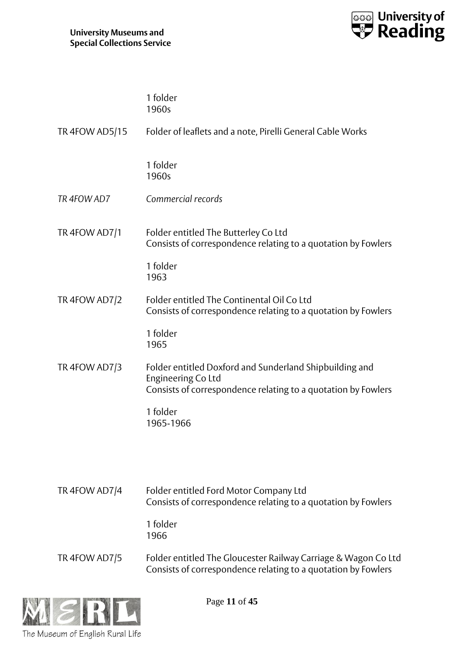

| 1 folder<br>1960s                                                                                                                              |
|------------------------------------------------------------------------------------------------------------------------------------------------|
| Folder of leaflets and a note, Pirelli General Cable Works                                                                                     |
| 1 folder<br>1960s                                                                                                                              |
| Commercial records                                                                                                                             |
| Folder entitled The Butterley Co Ltd<br>Consists of correspondence relating to a quotation by Fowlers                                          |
| 1 folder<br>1963                                                                                                                               |
| Folder entitled The Continental Oil Co Ltd<br>Consists of correspondence relating to a quotation by Fowlers                                    |
| 1 folder<br>1965                                                                                                                               |
| Folder entitled Doxford and Sunderland Shipbuilding and<br>Engineering Co Ltd<br>Consists of correspondence relating to a quotation by Fowlers |
| 1 folder<br>1965-1966                                                                                                                          |
|                                                                                                                                                |
| Folder entitled Ford Motor Company Ltd<br>Consists of correspondence relating to a quotation by Fowlers                                        |
| 1 folder<br>1966                                                                                                                               |
| Folder entitled The Gloucester Railway Carriage & Wagon Co Ltd<br>Consists of correspondence relating to a quotation by Fowlers                |
|                                                                                                                                                |



Page **11** of **45**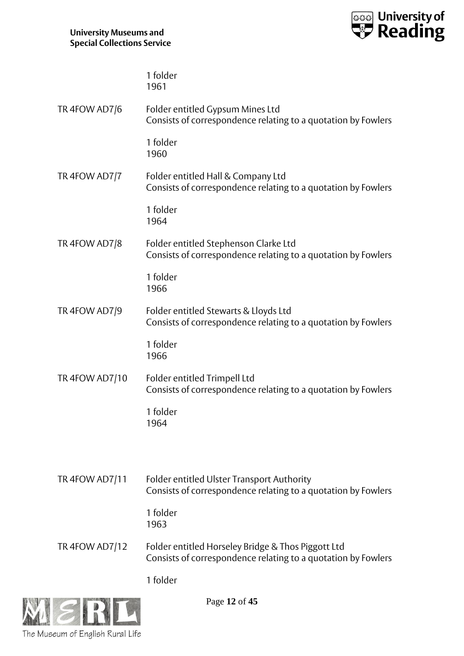

|                | 1 folder<br>1961                                                                                                    |
|----------------|---------------------------------------------------------------------------------------------------------------------|
| TR 4FOW AD7/6  | Folder entitled Gypsum Mines Ltd<br>Consists of correspondence relating to a quotation by Fowlers                   |
|                | 1 folder<br>1960                                                                                                    |
| TR 4FOW AD7/7  | Folder entitled Hall & Company Ltd<br>Consists of correspondence relating to a quotation by Fowlers                 |
|                | 1 folder<br>1964                                                                                                    |
| TR 4FOW AD7/8  | Folder entitled Stephenson Clarke Ltd<br>Consists of correspondence relating to a quotation by Fowlers              |
|                | 1 folder<br>1966                                                                                                    |
| TR 4FOW AD7/9  | Folder entitled Stewarts & Lloyds Ltd<br>Consists of correspondence relating to a quotation by Fowlers              |
|                | 1 folder<br>1966                                                                                                    |
| TR 4FOW AD7/10 | Folder entitled Trimpell Ltd<br>Consists of correspondence relating to a quotation by Fowlers                       |
|                | 1 folder<br>1964                                                                                                    |
|                |                                                                                                                     |
| TR 4FOW AD7/11 | <b>Folder entitled Ulster Transport Authority</b><br>Consists of correspondence relating to a quotation by Fowlers  |
|                | 1 folder<br>1963                                                                                                    |
| TR 4FOW AD7/12 | Folder entitled Horseley Bridge & Thos Piggott Ltd<br>Consists of correspondence relating to a quotation by Fowlers |
|                | 1 folder                                                                                                            |



Page **12** of **45**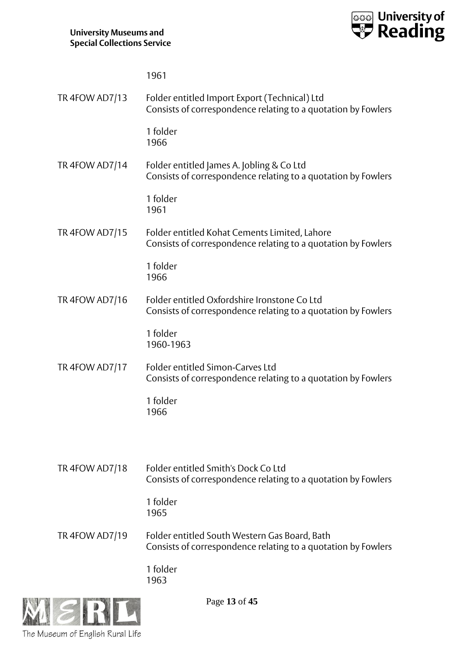

|                | 1961                                                                                                           |
|----------------|----------------------------------------------------------------------------------------------------------------|
| TR 4FOW AD7/13 | Folder entitled Import Export (Technical) Ltd<br>Consists of correspondence relating to a quotation by Fowlers |
|                | 1 folder<br>1966                                                                                               |
| TR 4FOW AD7/14 | Folder entitled James A. Jobling & Co Ltd<br>Consists of correspondence relating to a quotation by Fowlers     |
|                | 1 folder<br>1961                                                                                               |
| TR 4FOW AD7/15 | Folder entitled Kohat Cements Limited, Lahore<br>Consists of correspondence relating to a quotation by Fowlers |
|                | 1 folder<br>1966                                                                                               |
| TR 4FOW AD7/16 | Folder entitled Oxfordshire Ironstone Co Ltd<br>Consists of correspondence relating to a quotation by Fowlers  |
|                | 1 folder<br>1960-1963                                                                                          |
| TR 4FOW AD7/17 | Folder entitled Simon-Carves Ltd<br>Consists of correspondence relating to a quotation by Fowlers              |
|                | 1 folder<br>1966                                                                                               |
|                |                                                                                                                |
| TR 4FOW AD7/18 | Folder entitled Smith's Dock Co Ltd<br>Consists of correspondence relating to a quotation by Fowlers           |
|                | 1 folder<br>1965                                                                                               |
| TR 4FOW AD7/19 | Folder entitled South Western Gas Board, Bath<br>Consists of correspondence relating to a quotation by Fowlers |
|                | 1 folder<br>1963                                                                                               |



Page **13** of **45**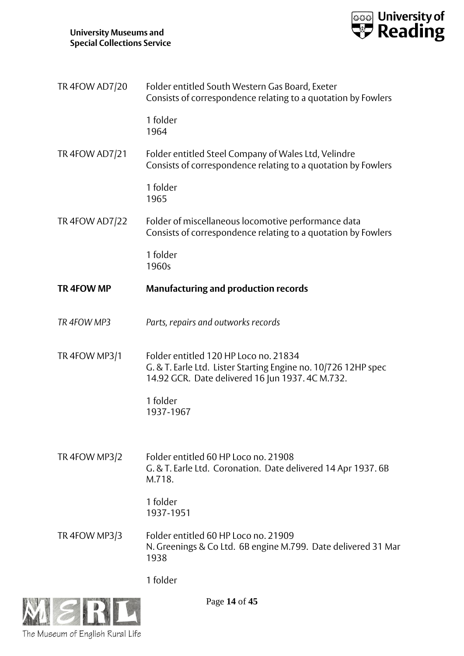

| TR 4FOW AD7/20        | Folder entitled South Western Gas Board, Exeter<br>Consists of correspondence relating to a quotation by Fowlers                                            |
|-----------------------|-------------------------------------------------------------------------------------------------------------------------------------------------------------|
|                       | 1 folder<br>1964                                                                                                                                            |
| <b>TR 4FOW AD7/21</b> | Folder entitled Steel Company of Wales Ltd, Velindre<br>Consists of correspondence relating to a quotation by Fowlers                                       |
|                       | 1 folder<br>1965                                                                                                                                            |
| <b>TR 4FOW AD7/22</b> | Folder of miscellaneous locomotive performance data<br>Consists of correspondence relating to a quotation by Fowlers                                        |
|                       | 1 folder<br>1960s                                                                                                                                           |
| TR 4FOW MP            | <b>Manufacturing and production records</b>                                                                                                                 |
| TR 4FOW MP3           | Parts, repairs and outworks records                                                                                                                         |
| TR 4FOW MP3/1         | Folder entitled 120 HP Loco no. 21834<br>G. & T. Earle Ltd. Lister Starting Engine no. 10/726 12HP spec<br>14.92 GCR. Date delivered 16 Jun 1937. 4C M.732. |
|                       | 1 folder<br>1937-1967                                                                                                                                       |
|                       |                                                                                                                                                             |
| TR 4FOW MP3/2         | Folder entitled 60 HP Loco no. 21908<br>G. & T. Earle Ltd. Coronation. Date delivered 14 Apr 1937.6B<br>M.718.                                              |
|                       | 1 folder<br>1937-1951                                                                                                                                       |
| TR 4FOW MP3/3         | Folder entitled 60 HP Loco no. 21909<br>N. Greenings & Co Ltd. 6B engine M.799. Date delivered 31 Mar<br>1938                                               |
|                       | 1 folder                                                                                                                                                    |



Page **14** of **45**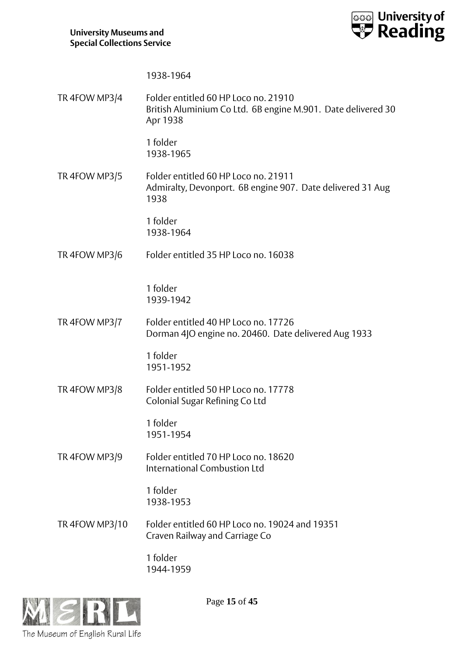

|                | 1938-1964                                                                                                        |
|----------------|------------------------------------------------------------------------------------------------------------------|
| TR 4FOW MP3/4  | Folder entitled 60 HP Loco no. 21910<br>British Aluminium Co Ltd. 6B engine M.901. Date delivered 30<br>Apr 1938 |
|                | 1 folder<br>1938-1965                                                                                            |
| TR 4FOW MP3/5  | Folder entitled 60 HP Loco no. 21911<br>Admiralty, Devonport. 6B engine 907. Date delivered 31 Aug<br>1938       |
|                | 1 folder<br>1938-1964                                                                                            |
| TR 4FOW MP3/6  | Folder entitled 35 HP Loco no. 16038                                                                             |
|                | 1 folder<br>1939-1942                                                                                            |
| TR 4FOW MP3/7  | Folder entitled 40 HP Loco no. 17726<br>Dorman 4JO engine no. 20460. Date delivered Aug 1933                     |
|                | 1 folder<br>1951-1952                                                                                            |
| TR 4FOW MP3/8  | Folder entitled 50 HP Loco no. 17778<br>Colonial Sugar Refining Co Ltd                                           |
|                | 1 folder<br>1951-1954                                                                                            |
| TR 4FOW MP3/9  | Folder entitled 70 HP Loco no. 18620<br><b>International Combustion Ltd</b>                                      |
|                | 1 folder<br>1938-1953                                                                                            |
| TR 4FOW MP3/10 | Folder entitled 60 HP Loco no. 19024 and 19351<br>Craven Railway and Carriage Co                                 |
|                | 1 folder<br>1944-1959                                                                                            |
|                |                                                                                                                  |



Page **15** of **45**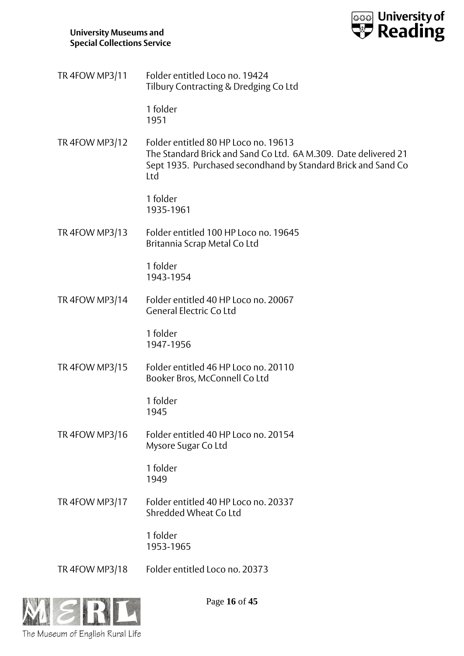

| TR 4FOW MP3/11 | Folder entitled Loco no. 19424        |
|----------------|---------------------------------------|
|                | Tilbury Contracting & Dredging Co Ltd |

1 folder 1951

TR 4FOW MP3/12 Folder entitled 80 HP Loco no. 19613 The Standard Brick and Sand Co Ltd. 6A M.309. Date delivered 21 Sept 1935. Purchased secondhand by Standard Brick and Sand Co Ltd

> 1 folder 1935-1961

TR 4FOW MP3/13 Folder entitled 100 HP Loco no. 19645 Britannia Scrap Metal Co Ltd

> 1 folder 1943-1954

TR 4FOW MP3/14 Folder entitled 40 HP Loco no. 20067 General Electric Co Ltd

> 1 folder 1947-1956

TR 4FOW MP3/15 Folder entitled 46 HP Loco no. 20110 Booker Bros, McConnell Co Ltd

> 1 folder 1945

TR 4FOW MP3/16 Folder entitled 40 HP Loco no. 20154 Mysore Sugar Co Ltd

> 1 folder 1949

TR 4FOW MP3/17 Folder entitled 40 HP Loco no. 20337 Shredded Wheat Co Ltd

> 1 folder 1953-1965

TR 4FOW MP3/18 Folder entitled Loco no. 20373



Page **16** of **45**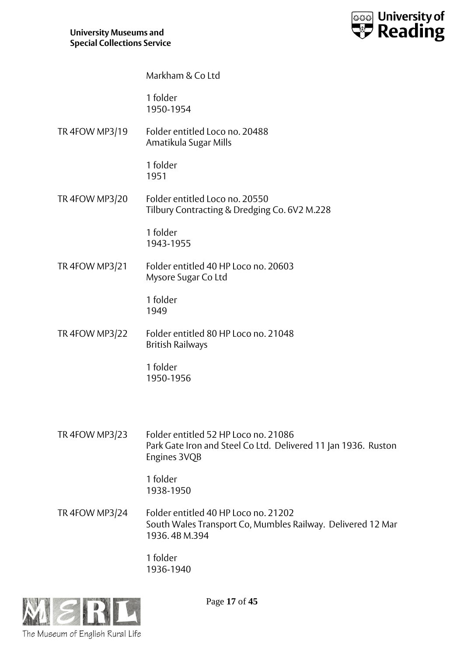

Markham & Co Ltd

1 folder 1950-1954

TR 4FOW MP3/19 Folder entitled Loco no. 20488 Amatikula Sugar Mills

> 1 folder 1951

TR 4FOW MP3/20 Folder entitled Loco no. 20550 Tilbury Contracting & Dredging Co. 6V2 M.228

> 1 folder 1943-1955

TR 4FOW MP3/21 Folder entitled 40 HP Loco no. 20603 Mysore Sugar Co Ltd

> 1 folder 1949

TR 4FOW MP3/22 Folder entitled 80 HP Loco no. 21048 British Railways

> 1 folder 1950-1956

TR 4FOW MP3/23 Folder entitled 52 HP Loco no. 21086 Park Gate Iron and Steel Co Ltd. Delivered 11 Jan 1936. Ruston Engines 3VQB

> 1 folder 1938-1950

TR 4FOW MP3/24 Folder entitled 40 HP Loco no. 21202 South Wales Transport Co, Mumbles Railway. Delivered 12 Mar 1936. 4B M.394

> 1 folder 1936-1940



Page **17** of **45**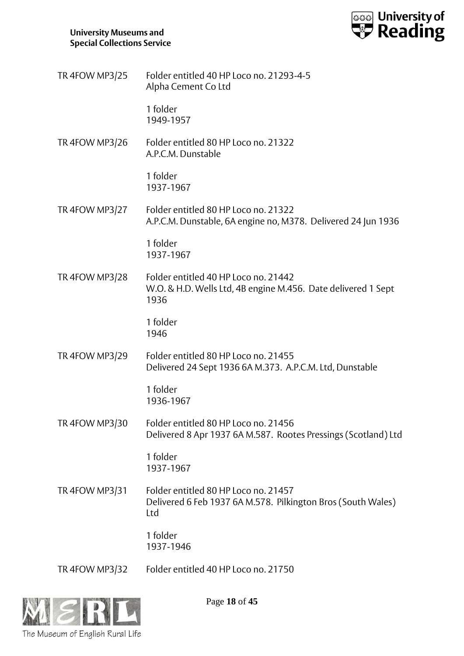

| TR 4FOW MP3/25        | Folder entitled 40 HP Loco no. 21293-4-5<br>Alpha Cement Co Ltd                                               |
|-----------------------|---------------------------------------------------------------------------------------------------------------|
|                       | 1 folder<br>1949-1957                                                                                         |
| <b>TR 4FOW MP3/26</b> | Folder entitled 80 HP Loco no. 21322<br>A.P.C.M. Dunstable                                                    |
|                       | 1 folder<br>1937-1967                                                                                         |
| <b>TR 4FOW MP3/27</b> | Folder entitled 80 HP Loco no. 21322<br>A.P.C.M. Dunstable, 6A engine no, M378. Delivered 24 Jun 1936         |
|                       | 1 folder<br>1937-1967                                                                                         |
| TR 4FOW MP3/28        | Folder entitled 40 HP Loco no. 21442<br>W.O. & H.D. Wells Ltd, 4B engine M.456. Date delivered 1 Sept<br>1936 |
|                       | 1 folder<br>1946                                                                                              |
| TR 4FOW MP3/29        | Folder entitled 80 HP Loco no. 21455<br>Delivered 24 Sept 1936 6A M.373. A.P.C.M. Ltd, Dunstable              |
|                       | 1 folder<br>1936-1967                                                                                         |
| <b>TR 4FOW MP3/30</b> | Folder entitled 80 HP Loco no. 21456<br>Delivered 8 Apr 1937 6A M.587. Rootes Pressings (Scotland) Ltd        |
|                       | 1 folder<br>1937-1967                                                                                         |
| TR 4FOW MP3/31        | Folder entitled 80 HP Loco no. 21457<br>Delivered 6 Feb 1937 6A M.578. Pilkington Bros (South Wales)<br>Ltd   |
|                       | 1 folder<br>1937-1946                                                                                         |
| TR 4FOW MP3/32        | Folder entitled 40 HP Loco no. 21750                                                                          |



Page **18** of **45**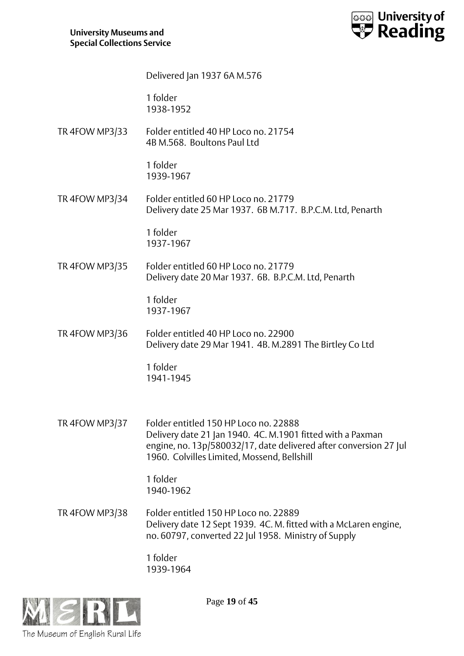

|                       | Delivered Jan 1937 6A M.576                                                                                                                                                                                             |
|-----------------------|-------------------------------------------------------------------------------------------------------------------------------------------------------------------------------------------------------------------------|
|                       | 1 folder<br>1938-1952                                                                                                                                                                                                   |
| TR 4FOW MP3/33        | Folder entitled 40 HP Loco no. 21754<br>4B M.568. Boultons Paul Ltd                                                                                                                                                     |
|                       | 1 folder<br>1939-1967                                                                                                                                                                                                   |
| TR 4FOW MP3/34        | Folder entitled 60 HP Loco no. 21779<br>Delivery date 25 Mar 1937. 6B M.717. B.P.C.M. Ltd, Penarth                                                                                                                      |
|                       | 1 folder<br>1937-1967                                                                                                                                                                                                   |
| TR 4FOW MP3/35        | Folder entitled 60 HP Loco no. 21779<br>Delivery date 20 Mar 1937. 6B. B.P.C.M. Ltd, Penarth                                                                                                                            |
|                       | 1 folder<br>1937-1967                                                                                                                                                                                                   |
| <b>TR 4FOW MP3/36</b> | Folder entitled 40 HP Loco no. 22900<br>Delivery date 29 Mar 1941. 4B. M.2891 The Birtley Co Ltd                                                                                                                        |
|                       | 1 folder<br>1941-1945                                                                                                                                                                                                   |
| TR 4FOW MP3/37        | Folder entitled 150 HP Loco no. 22888<br>Delivery date 21 Jan 1940. 4C. M.1901 fitted with a Paxman<br>engine, no. 13p/580032/17, date delivered after conversion 27 Jul<br>1960. Colvilles Limited, Mossend, Bellshill |
|                       | 1 folder<br>1940-1962                                                                                                                                                                                                   |
| <b>TR 4FOW MP3/38</b> | Folder entitled 150 HP Loco no. 22889<br>Delivery date 12 Sept 1939. 4C. M. fitted with a McLaren engine,<br>no. 60797, converted 22 Jul 1958. Ministry of Supply                                                       |
|                       | 1 folder<br>1939-1964                                                                                                                                                                                                   |



Page **19** of **45**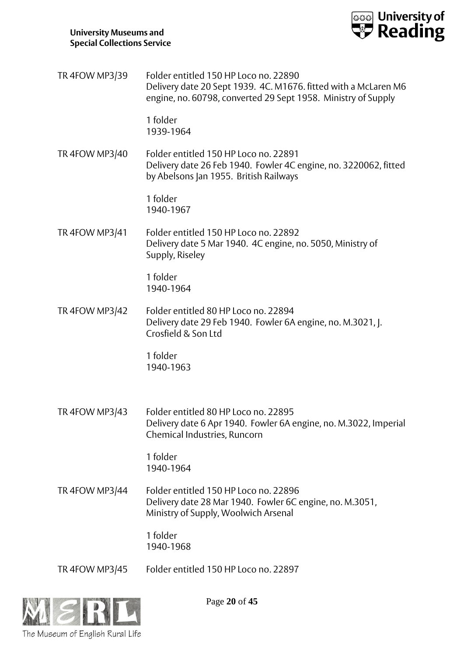

| TR 4FOW MP3/39        | Folder entitled 150 HP Loco no. 22890<br>Delivery date 20 Sept 1939. 4C. M1676. fitted with a McLaren M6<br>engine, no. 60798, converted 29 Sept 1958. Ministry of Supply |
|-----------------------|---------------------------------------------------------------------------------------------------------------------------------------------------------------------------|
|                       | 1 folder<br>1939-1964                                                                                                                                                     |
| <b>TR 4FOW MP3/40</b> | Folder entitled 150 HP Loco no. 22891<br>Delivery date 26 Feb 1940. Fowler 4C engine, no. 3220062, fitted<br>by Abelsons Jan 1955. British Railways                       |
|                       | 1 folder<br>1940-1967                                                                                                                                                     |
| TR 4FOW MP3/41        | Folder entitled 150 HP Loco no. 22892<br>Delivery date 5 Mar 1940. 4C engine, no. 5050, Ministry of<br>Supply, Riseley                                                    |
|                       | 1 folder<br>1940-1964                                                                                                                                                     |
| TR 4FOW MP3/42        | Folder entitled 80 HP Loco no. 22894<br>Delivery date 29 Feb 1940. Fowler 6A engine, no. M.3021, J.<br>Crosfield & Son Ltd                                                |
|                       | 1 folder<br>1940-1963                                                                                                                                                     |
| TR 4FOW MP3/43        | Folder entitled 80 HP Loco no. 22895<br>Delivery date 6 Apr 1940. Fowler 6A engine, no. M.3022, Imperial<br>Chemical Industries, Runcorn                                  |
|                       | 1 folder<br>1940-1964                                                                                                                                                     |
| <b>TR 4FOW MP3/44</b> | Folder entitled 150 HP Loco no. 22896<br>Delivery date 28 Mar 1940. Fowler 6C engine, no. M.3051,<br>Ministry of Supply, Woolwich Arsenal                                 |
|                       | 1 folder<br>1940-1968                                                                                                                                                     |
| TR 4FOW MP3/45        | Folder entitled 150 HP Loco no. 22897                                                                                                                                     |



Page **20** of **45**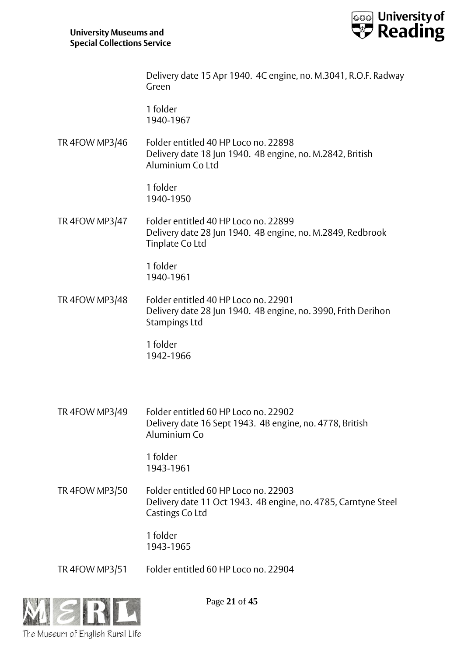

Delivery date 15 Apr 1940. 4C engine, no. M.3041, R.O.F. Radway Green

1 folder 1940-1967

TR 4FOW MP3/46 Folder entitled 40 HP Loco no. 22898 Delivery date 18 Jun 1940. 4B engine, no. M.2842, British Aluminium Co Ltd

> 1 folder 1940-1950

TR 4FOW MP3/47 Folder entitled 40 HP Loco no. 22899 Delivery date 28 Jun 1940. 4B engine, no. M.2849, Redbrook Tinplate Co Ltd

> 1 folder 1940-1961

TR 4FOW MP3/48 Folder entitled 40 HP Loco no. 22901 Delivery date 28 Jun 1940. 4B engine, no. 3990, Frith Derihon Stampings Ltd

> 1 folder 1942-1966

TR 4FOW MP3/49 Folder entitled 60 HP Loco no. 22902 Delivery date 16 Sept 1943. 4B engine, no. 4778, British Aluminium Co

> 1 folder 1943-1961

TR 4FOW MP3/50 Folder entitled 60 HP Loco no. 22903 Delivery date 11 Oct 1943. 4B engine, no. 4785, Carntyne Steel Castings Co Ltd

> 1 folder 1943-1965

TR 4FOW MP3/51 Folder entitled 60 HP Loco no. 22904



Page **21** of **45**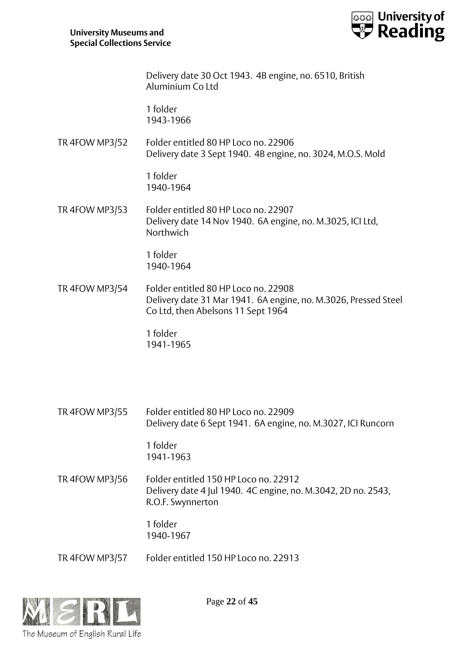

Delivery date 30 Oct 1943. 4B engine, no. 6510, British Aluminium Co Ltd

1 folder 1943-1966

TR 4FOW MP3/52 Folder entitled 80 HP Loco no. 22906 Delivery date 3 Sept 1940. 4B engine, no. 3024, M.O.S. Mold

> 1 folder 1940-1964

TR 4FOW MP3/53 Folder entitled 80 HP Loco no. 22907 Delivery date 14 Nov 1940. 6A engine, no. M.3025, ICI Ltd, Northwich

> 1 folder 1940-1964

TR 4FOW MP3/54 Folder entitled 80 HP Loco no. 22908 Delivery date 31 Mar 1941. 6A engine, no. M.3026, Pressed Steel Co Ltd, then Abelsons 11 Sept 1964

> 1 folder 1941-1965

TR 4FOW MP3/55 Folder entitled 80 HP Loco no. 22909 Delivery date 6 Sept 1941. 6A engine, no. M.3027, ICI Runcorn

> 1 folder 1941-1963

TR 4FOW MP3/56 Folder entitled 150 HP Loco no. 22912 Delivery date 4 Jul 1940. 4C engine, no. M.3042, 2D no. 2543, R.O.F. Swynnerton

> 1 folder 1940-1967

TR 4FOW MP3/57 Folder entitled 150 HP Loco no. 22913



Page **22** of **45**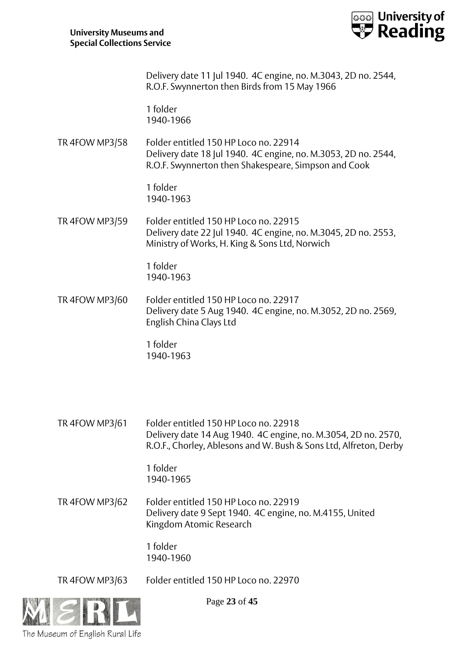

Delivery date 11 Jul 1940. 4C engine, no. M.3043, 2D no. 2544, R.O.F. Swynnerton then Birds from 15 May 1966

1 folder 1940-1966

TR 4FOW MP3/58 Folder entitled 150 HP Loco no. 22914 Delivery date 18 Jul 1940. 4C engine, no. M.3053, 2D no. 2544, R.O.F. Swynnerton then Shakespeare, Simpson and Cook

> 1 folder 1940-1963

TR 4FOW MP3/59 Folder entitled 150 HP Loco no. 22915 Delivery date 22 Jul 1940. 4C engine, no. M.3045, 2D no. 2553, Ministry of Works, H. King & Sons Ltd, Norwich

> 1 folder 1940-1963

TR 4FOW MP3/60 Folder entitled 150 HP Loco no. 22917 Delivery date 5 Aug 1940. 4C engine, no. M.3052, 2D no. 2569, English China Clays Ltd

> 1 folder 1940-1963

TR 4FOW MP3/61 Folder entitled 150 HP Loco no. 22918 Delivery date 14 Aug 1940. 4C engine, no. M.3054, 2D no. 2570, R.O.F., Chorley, Ablesons and W. Bush & Sons Ltd, Alfreton, Derby

> 1 folder 1940-1965

TR 4FOW MP3/62 Folder entitled 150 HP Loco no. 22919 Delivery date 9 Sept 1940. 4C engine, no. M.4155, United Kingdom Atomic Research

> 1 folder 1940-1960

TR 4FOW MP3/63 Folder entitled 150 HP Loco no. 22970



Page **23** of **45**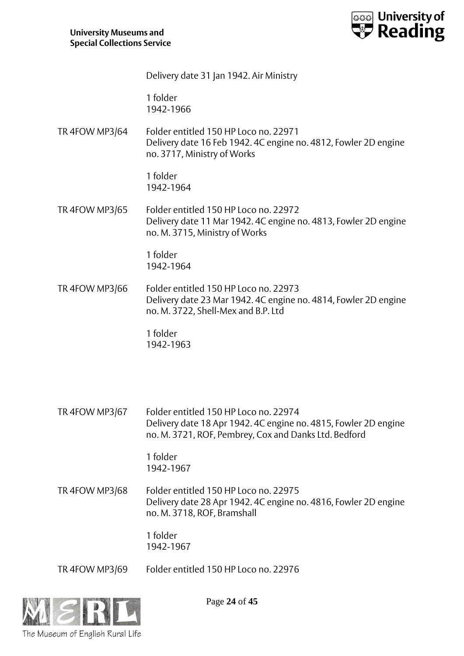

Delivery date 31 Jan 1942. Air Ministry

1 folder 1942-1966

TR 4FOW MP3/64 Folder entitled 150 HP Loco no. 22971 Delivery date 16 Feb 1942. 4C engine no. 4812, Fowler 2D engine no. 3717, Ministry of Works

> 1 folder 1942-1964

TR 4FOW MP3/65 Folder entitled 150 HP Loco no. 22972 Delivery date 11 Mar 1942. 4C engine no. 4813, Fowler 2D engine no. M. 3715, Ministry of Works

> 1 folder 1942-1964

TR 4FOW MP3/66 Folder entitled 150 HP Loco no. 22973 Delivery date 23 Mar 1942. 4C engine no. 4814, Fowler 2D engine no. M. 3722, Shell-Mex and B.P. Ltd

> 1 folder 1942-1963

TR 4FOW MP3/67 Folder entitled 150 HP Loco no. 22974 Delivery date 18 Apr 1942. 4C engine no. 4815, Fowler 2D engine no. M. 3721, ROF, Pembrey, Cox and Danks Ltd. Bedford

> 1 folder 1942-1967

TR 4FOW MP3/68 Folder entitled 150 HP Loco no. 22975 Delivery date 28 Apr 1942. 4C engine no. 4816, Fowler 2D engine no. M. 3718, ROF, Bramshall

> 1 folder 1942-1967

TR 4FOW MP3/69 Folder entitled 150 HP Loco no. 22976



Page **24** of **45**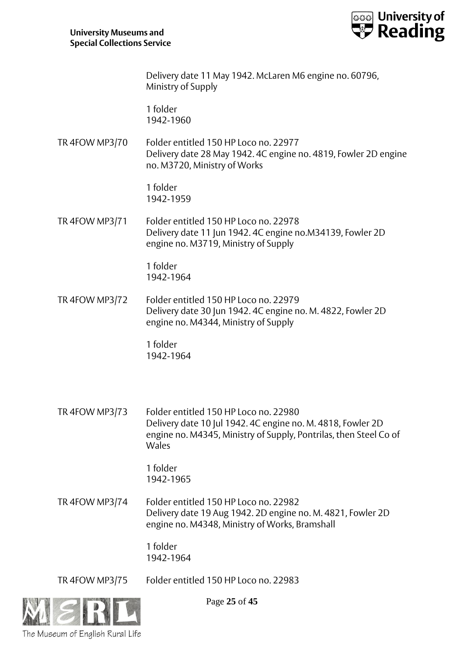

Delivery date 11 May 1942. McLaren M6 engine no. 60796, Ministry of Supply

1 folder 1942-1960

TR 4FOW MP3/70 Folder entitled 150 HP Loco no. 22977 Delivery date 28 May 1942. 4C engine no. 4819, Fowler 2D engine no. M3720, Ministry of Works

> 1 folder 1942-1959

TR 4FOW MP3/71 Folder entitled 150 HP Loco no. 22978 Delivery date 11 Jun 1942. 4C engine no.M34139, Fowler 2D engine no. M3719, Ministry of Supply

> 1 folder 1942-1964

TR 4FOW MP3/72 Folder entitled 150 HP Loco no. 22979 Delivery date 30 Jun 1942. 4C engine no. M. 4822, Fowler 2D engine no. M4344, Ministry of Supply

> 1 folder 1942-1964

TR 4FOW MP3/73 Folder entitled 150 HP Loco no. 22980 Delivery date 10 Jul 1942. 4C engine no. M. 4818, Fowler 2D engine no. M4345, Ministry of Supply, Pontrilas, then Steel Co of Wales

> 1 folder 1942-1965

TR 4FOW MP3/74 Folder entitled 150 HP Loco no. 22982 Delivery date 19 Aug 1942. 2D engine no. M. 4821, Fowler 2D engine no. M4348, Ministry of Works, Bramshall

> 1 folder 1942-1964

TR 4FOW MP3/75 Folder entitled 150 HP Loco no. 22983



Page **25** of **45**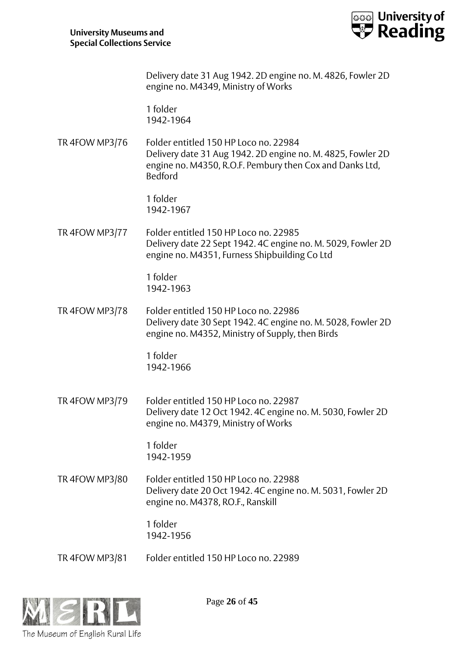

|                | Delivery date 31 Aug 1942. 2D engine no. M. 4826, Fowler 2D<br>engine no. M4349, Ministry of Works                                                                                 |
|----------------|------------------------------------------------------------------------------------------------------------------------------------------------------------------------------------|
|                | 1 folder<br>1942-1964                                                                                                                                                              |
| TR 4FOW MP3/76 | Folder entitled 150 HP Loco no. 22984<br>Delivery date 31 Aug 1942. 2D engine no. M. 4825, Fowler 2D<br>engine no. M4350, R.O.F. Pembury then Cox and Danks Ltd,<br><b>Bedford</b> |
|                | 1 folder<br>1942-1967                                                                                                                                                              |
| TR 4FOW MP3/77 | Folder entitled 150 HP Loco no. 22985<br>Delivery date 22 Sept 1942. 4C engine no. M. 5029, Fowler 2D<br>engine no. M4351, Furness Shipbuilding Co Ltd                             |
|                | 1 folder<br>1942-1963                                                                                                                                                              |
| TR 4FOW MP3/78 | Folder entitled 150 HP Loco no. 22986<br>Delivery date 30 Sept 1942. 4C engine no. M. 5028, Fowler 2D<br>engine no. M4352, Ministry of Supply, then Birds                          |
|                | 1 folder<br>1942-1966                                                                                                                                                              |
| TR 4FOW MP3/79 | Folder entitled 150 HP Loco no. 22987<br>Delivery date 12 Oct 1942. 4C engine no. M. 5030, Fowler 2D<br>engine no. M4379, Ministry of Works                                        |
|                | 1 folder<br>1942-1959                                                                                                                                                              |
| TR 4FOW MP3/80 | Folder entitled 150 HP Loco no. 22988<br>Delivery date 20 Oct 1942. 4C engine no. M. 5031, Fowler 2D<br>engine no. M4378, RO.F., Ranskill                                          |
|                | 1 folder<br>1942-1956                                                                                                                                                              |
| TR 4FOW MP3/81 | Folder entitled 150 HP Loco no. 22989                                                                                                                                              |



Page **26** of **45**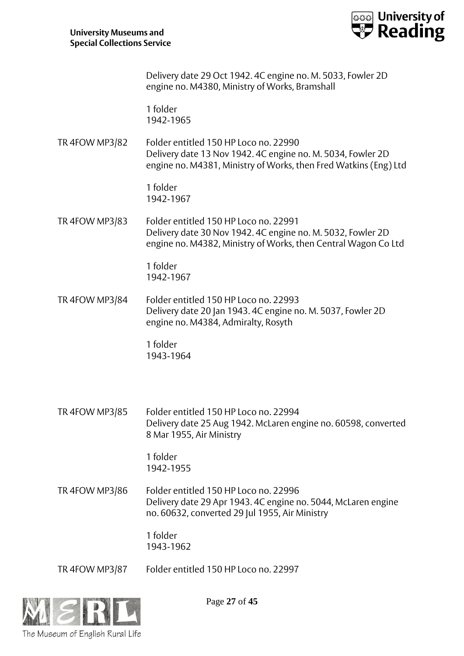

Delivery date 29 Oct 1942. 4C engine no. M. 5033, Fowler 2D engine no. M4380, Ministry of Works, Bramshall

1 folder 1942-1965

TR 4FOW MP3/82 Folder entitled 150 HP Loco no. 22990 Delivery date 13 Nov 1942. 4C engine no. M. 5034, Fowler 2D engine no. M4381, Ministry of Works, then Fred Watkins (Eng) Ltd

> 1 folder 1942-1967

TR 4FOW MP3/83 Folder entitled 150 HP Loco no. 22991 Delivery date 30 Nov 1942. 4C engine no. M. 5032, Fowler 2D engine no. M4382, Ministry of Works, then Central Wagon Co Ltd

> 1 folder 1942-1967

TR 4FOW MP3/84 Folder entitled 150 HP Loco no. 22993 Delivery date 20 Jan 1943. 4C engine no. M. 5037, Fowler 2D engine no. M4384, Admiralty, Rosyth

> 1 folder 1943-1964

TR 4FOW MP3/85 Folder entitled 150 HP Loco no. 22994 Delivery date 25 Aug 1942. McLaren engine no. 60598, converted 8 Mar 1955, Air Ministry

> 1 folder 1942-1955

TR 4FOW MP3/86 Folder entitled 150 HP Loco no. 22996 Delivery date 29 Apr 1943. 4C engine no. 5044, McLaren engine no. 60632, converted 29 Jul 1955, Air Ministry

> 1 folder 1943-1962

TR 4FOW MP3/87 Folder entitled 150 HP Loco no. 22997



Page **27** of **45**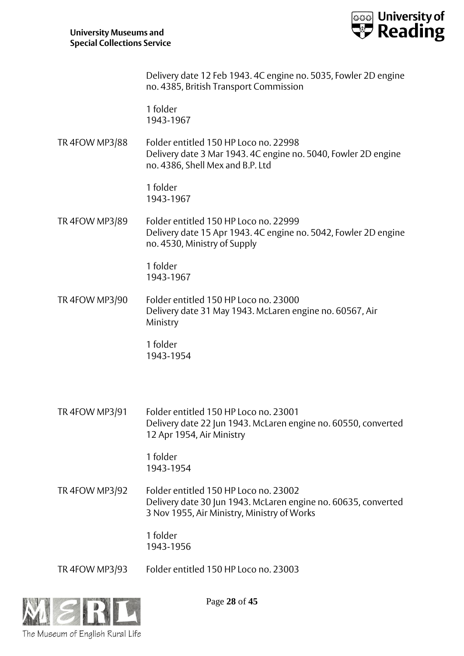The Museum of English Rural Life



Page **28** of **45** Delivery date 12 Feb 1943. 4C engine no. 5035, Fowler 2D engine no. 4385, British Transport Commission 1 folder 1943-1967 TR 4FOW MP3/88 Folder entitled 150 HP Loco no. 22998 Delivery date 3 Mar 1943. 4C engine no. 5040, Fowler 2D engine no. 4386, Shell Mex and B.P. Ltd 1 folder 1943-1967 TR 4FOW MP3/89 Folder entitled 150 HP Loco no. 22999 Delivery date 15 Apr 1943. 4C engine no. 5042, Fowler 2D engine no. 4530, Ministry of Supply 1 folder 1943-1967 TR 4FOW MP3/90 Folder entitled 150 HP Loco no. 23000 Delivery date 31 May 1943. McLaren engine no. 60567, Air Ministry 1 folder 1943-1954 TR 4FOW MP3/91 Folder entitled 150 HP Loco no. 23001 Delivery date 22 Jun 1943. McLaren engine no. 60550, converted 12 Apr 1954, Air Ministry 1 folder 1943-1954 TR 4FOW MP3/92 Folder entitled 150 HP Loco no. 23002 Delivery date 30 Jun 1943. McLaren engine no. 60635, converted 3 Nov 1955, Air Ministry, Ministry of Works 1 folder 1943-1956 TR 4FOW MP3/93 Folder entitled 150 HP Loco no. 23003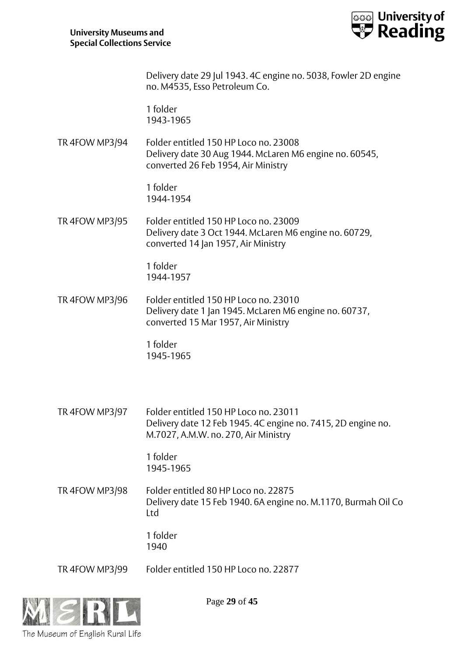

Delivery date 29 Jul 1943. 4C engine no. 5038, Fowler 2D engine no. M4535, Esso Petroleum Co.

1 folder 1943-1965

TR 4FOW MP3/94 Folder entitled 150 HP Loco no. 23008 Delivery date 30 Aug 1944. McLaren M6 engine no. 60545, converted 26 Feb 1954, Air Ministry

> 1 folder 1944-1954

TR 4FOW MP3/95 Folder entitled 150 HP Loco no. 23009 Delivery date 3 Oct 1944. McLaren M6 engine no. 60729, converted 14 Jan 1957, Air Ministry

> 1 folder 1944-1957

TR 4FOW MP3/96 Folder entitled 150 HP Loco no. 23010 Delivery date 1 Jan 1945. McLaren M6 engine no. 60737, converted 15 Mar 1957, Air Ministry

> 1 folder 1945-1965

TR 4FOW MP3/97 Folder entitled 150 HP Loco no. 23011 Delivery date 12 Feb 1945. 4C engine no. 7415, 2D engine no. M.7027, A.M.W. no. 270, Air Ministry

> 1 folder 1945-1965

TR 4FOW MP3/98 Folder entitled 80 HP Loco no. 22875 Delivery date 15 Feb 1940. 6A engine no. M.1170, Burmah Oil Co Ltd

> 1 folder 1940

TR 4FOW MP3/99 Folder entitled 150 HP Loco no. 22877



Page **29** of **45**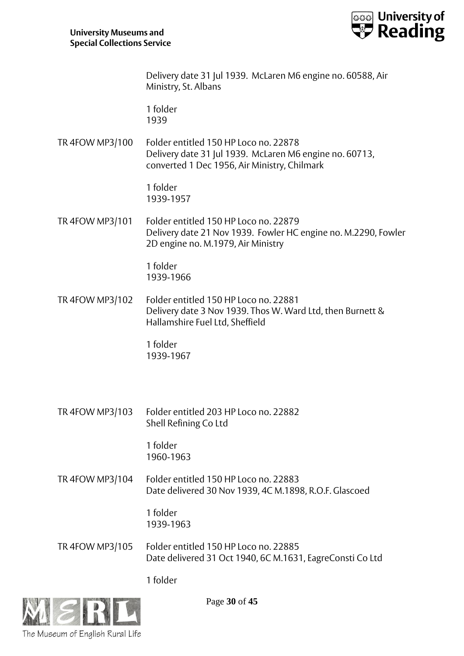

Delivery date 31 Jul 1939. McLaren M6 engine no. 60588, Air Ministry, St. Albans

1 folder 1939

TR 4FOW MP3/100 Folder entitled 150 HP Loco no. 22878 Delivery date 31 Jul 1939. McLaren M6 engine no. 60713, converted 1 Dec 1956, Air Ministry, Chilmark

> 1 folder 1939-1957

TR 4FOW MP3/101 Folder entitled 150 HP Loco no. 22879 Delivery date 21 Nov 1939. Fowler HC engine no. M.2290, Fowler 2D engine no. M.1979, Air Ministry

> 1 folder 1939-1966

TR 4FOW MP3/102 Folder entitled 150 HP Loco no. 22881 Delivery date 3 Nov 1939. Thos W. Ward Ltd, then Burnett & Hallamshire Fuel Ltd, Sheffield

> 1 folder 1939-1967

TR 4FOW MP3/103 Folder entitled 203 HP Loco no. 22882 Shell Refining Co Ltd

> 1 folder 1960-1963

TR 4FOW MP3/104 Folder entitled 150 HP Loco no. 22883 Date delivered 30 Nov 1939, 4C M.1898, R.O.F. Glascoed

> 1 folder 1939-1963

TR 4FOW MP3/105 Folder entitled 150 HP Loco no. 22885 Date delivered 31 Oct 1940, 6C M.1631, EagreConsti Co Ltd

1 folder



Page **30** of **45**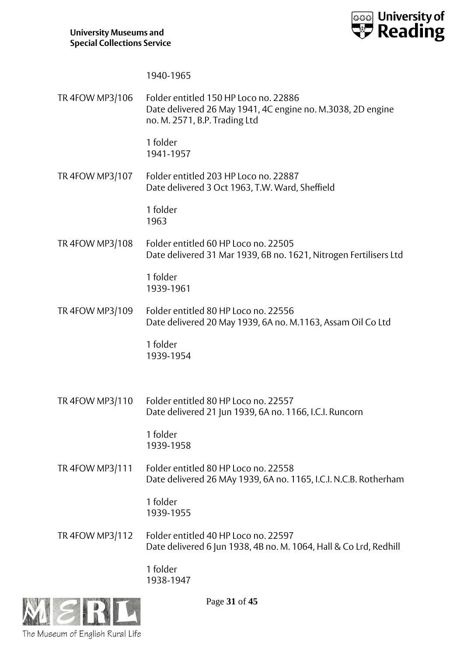

1940-1965

TR 4FOW MP3/106 Folder entitled 150 HP Loco no. 22886 Date delivered 26 May 1941, 4C engine no. M.3038, 2D engine no. M. 2571, B.P. Trading Ltd 1 folder 1941-1957 TR 4FOW MP3/107 Folder entitled 203 HP Loco no. 22887 Date delivered 3 Oct 1963, T.W. Ward, Sheffield 1 folder 1963 TR 4FOW MP3/108 Folder entitled 60 HP Loco no. 22505 Date delivered 31 Mar 1939, 6B no. 1621, Nitrogen Fertilisers Ltd 1 folder 1939-1961 TR 4FOW MP3/109 Folder entitled 80 HP Loco no. 22556 Date delivered 20 May 1939, 6A no. M.1163, Assam Oil Co Ltd 1 folder 1939-1954 TR 4FOW MP3/110 Folder entitled 80 HP Loco no. 22557 Date delivered 21 Jun 1939, 6A no. 1166, I.C.I. Runcorn 1 folder 1939-1958 TR 4FOW MP3/111 Folder entitled 80 HP Loco no. 22558 Date delivered 26 MAy 1939, 6A no. 1165, I.C.I. N.C.B. Rotherham 1 folder 1939-1955 TR 4FOW MP3/112 Folder entitled 40 HP Loco no. 22597 Date delivered 6 Jun 1938, 4B no. M. 1064, Hall & Co Lrd, Redhill 1 folder 1938-1947



Page **31** of **45**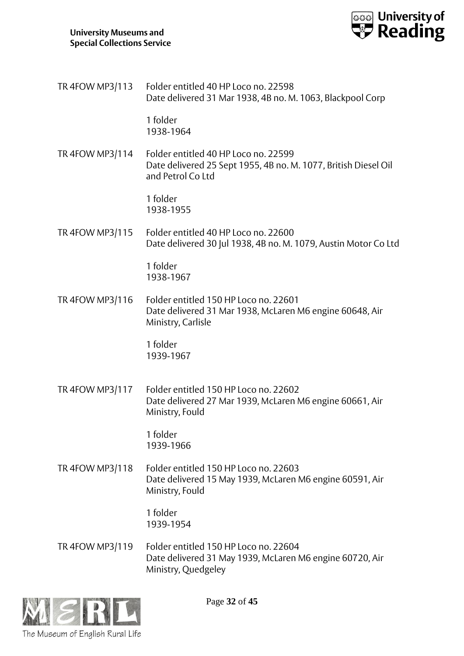

TR 4FOW MP3/113 Folder entitled 40 HP Loco no. 22598 Date delivered 31 Mar 1938, 4B no. M. 1063, Blackpool Corp

> 1 folder 1938-1964

TR 4FOW MP3/114 Folder entitled 40 HP Loco no. 22599 Date delivered 25 Sept 1955, 4B no. M. 1077, British Diesel Oil and Petrol Co Ltd

> 1 folder 1938-1955

TR 4FOW MP3/115 Folder entitled 40 HP Loco no. 22600 Date delivered 30 Jul 1938, 4B no. M. 1079, Austin Motor Co Ltd

> 1 folder 1938-1967

TR 4FOW MP3/116 Folder entitled 150 HP Loco no. 22601 Date delivered 31 Mar 1938, McLaren M6 engine 60648, Air Ministry, Carlisle

> 1 folder 1939-1967

TR 4FOW MP3/117 Folder entitled 150 HP Loco no. 22602 Date delivered 27 Mar 1939, McLaren M6 engine 60661, Air Ministry, Fould

> 1 folder 1939-1966

TR 4FOW MP3/118 Folder entitled 150 HP Loco no. 22603 Date delivered 15 May 1939, McLaren M6 engine 60591, Air Ministry, Fould

> 1 folder 1939-1954

TR 4FOW MP3/119 Folder entitled 150 HP Loco no. 22604 Date delivered 31 May 1939, McLaren M6 engine 60720, Air Ministry, Quedgeley



Page **32** of **45**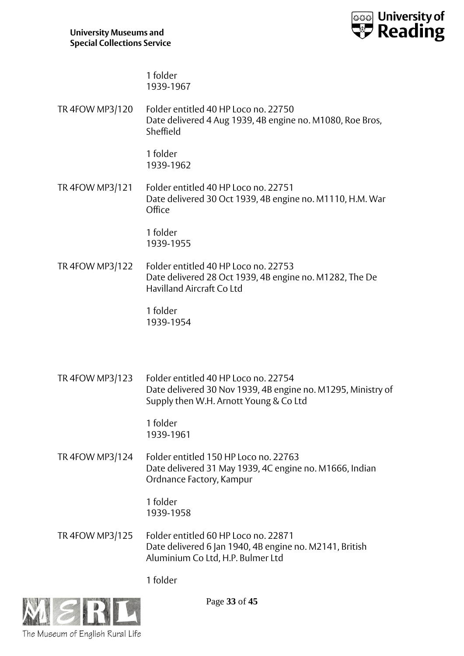

1 folder 1939-1967

TR 4FOW MP3/120 Folder entitled 40 HP Loco no. 22750 Date delivered 4 Aug 1939, 4B engine no. M1080, Roe Bros, Sheffield

> 1 folder 1939-1962

TR 4FOW MP3/121 Folder entitled 40 HP Loco no. 22751 Date delivered 30 Oct 1939, 4B engine no. M1110, H.M. War **Office** 

> 1 folder 1939-1955

TR 4FOW MP3/122 Folder entitled 40 HP Loco no. 22753 Date delivered 28 Oct 1939, 4B engine no. M1282, The De Havilland Aircraft Co Ltd

> 1 folder 1939-1954

TR 4FOW MP3/123 Folder entitled 40 HP Loco no. 22754 Date delivered 30 Nov 1939, 4B engine no. M1295, Ministry of Supply then W.H. Arnott Young & Co Ltd

> 1 folder 1939-1961

TR 4FOW MP3/124 Folder entitled 150 HP Loco no. 22763 Date delivered 31 May 1939, 4C engine no. M1666, Indian Ordnance Factory, Kampur

> 1 folder 1939-1958

TR 4FOW MP3/125 Folder entitled 60 HP Loco no. 22871 Date delivered 6 Jan 1940, 4B engine no. M2141, British Aluminium Co Ltd, H.P. Bulmer Ltd

1 folder



Page **33** of **45**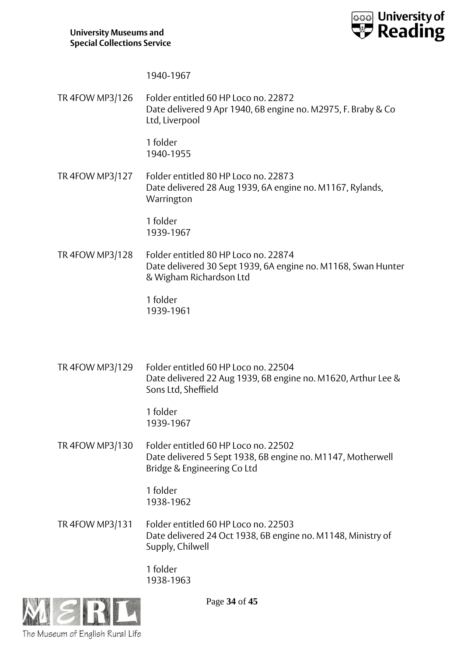

1940-1967

TR 4FOW MP3/126 Folder entitled 60 HP Loco no. 22872 Date delivered 9 Apr 1940, 6B engine no. M2975, F. Braby & Co Ltd, Liverpool

> 1 folder 1940-1955

TR 4FOW MP3/127 Folder entitled 80 HP Loco no. 22873 Date delivered 28 Aug 1939, 6A engine no. M1167, Rylands, **Warrington** 

> 1 folder 1939-1967

TR 4FOW MP3/128 Folder entitled 80 HP Loco no. 22874 Date delivered 30 Sept 1939, 6A engine no. M1168, Swan Hunter & Wigham Richardson Ltd

> 1 folder 1939-1961

TR 4FOW MP3/129 Folder entitled 60 HP Loco no. 22504 Date delivered 22 Aug 1939, 6B engine no. M1620, Arthur Lee & Sons Ltd, Sheffield

> 1 folder 1939-1967

TR 4FOW MP3/130 Folder entitled 60 HP Loco no. 22502 Date delivered 5 Sept 1938, 6B engine no. M1147, Motherwell Bridge & Engineering Co Ltd

> 1 folder 1938-1962

TR 4FOW MP3/131 Folder entitled 60 HP Loco no. 22503 Date delivered 24 Oct 1938, 6B engine no. M1148, Ministry of Supply, Chilwell

> 1 folder 1938-1963



Page **34** of **45**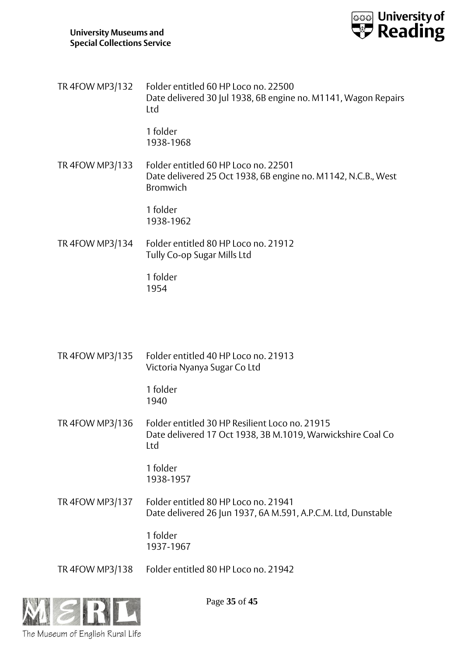

TR 4FOW MP3/132 Folder entitled 60 HP Loco no. 22500 Date delivered 30 Jul 1938, 6B engine no. M1141, Wagon Repairs Ltd

> 1 folder 1938-1968

TR 4FOW MP3/133 Folder entitled 60 HP Loco no. 22501 Date delivered 25 Oct 1938, 6B engine no. M1142, N.C.B., West Bromwich

> 1 folder 1938-1962

TR 4FOW MP3/134 Folder entitled 80 HP Loco no. 21912 Tully Co-op Sugar Mills Ltd

> 1 folder 1954

TR 4FOW MP3/135 Folder entitled 40 HP Loco no. 21913 Victoria Nyanya Sugar Co Ltd

> 1 folder 1940

TR 4FOW MP3/136 Folder entitled 30 HP Resilient Loco no. 21915 Date delivered 17 Oct 1938, 3B M.1019, Warwickshire Coal Co Ltd

> 1 folder 1938-1957

TR 4FOW MP3/137 Folder entitled 80 HP Loco no. 21941 Date delivered 26 Jun 1937, 6A M.591, A.P.C.M. Ltd, Dunstable

> 1 folder 1937-1967

TR 4FOW MP3/138 Folder entitled 80 HP Loco no. 21942



Page **35** of **45**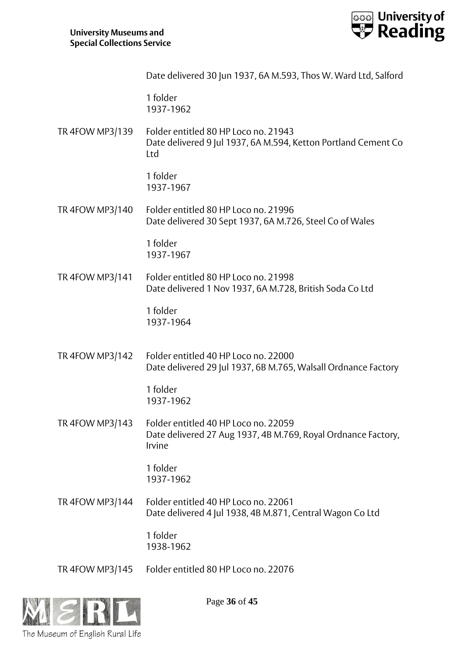

|                 | Date delivered 30 Jun 1937, 6A M.593, Thos W. Ward Ltd, Salford                                                 |
|-----------------|-----------------------------------------------------------------------------------------------------------------|
|                 | 1 folder<br>1937-1962                                                                                           |
| TR 4FOW MP3/139 | Folder entitled 80 HP Loco no. 21943<br>Date delivered 9 Jul 1937, 6A M.594, Ketton Portland Cement Co<br>Ltd   |
|                 | 1 folder<br>1937-1967                                                                                           |
| TR 4FOW MP3/140 | Folder entitled 80 HP Loco no. 21996<br>Date delivered 30 Sept 1937, 6A M.726, Steel Co of Wales                |
|                 | 1 folder<br>1937-1967                                                                                           |
| TR 4FOW MP3/141 | Folder entitled 80 HP Loco no. 21998<br>Date delivered 1 Nov 1937, 6A M.728, British Soda Co Ltd                |
|                 | 1 folder<br>1937-1964                                                                                           |
| TR 4FOW MP3/142 | Folder entitled 40 HP Loco no. 22000<br>Date delivered 29 Jul 1937, 6B M.765, Walsall Ordnance Factory          |
|                 | 1 folder<br>1937-1962                                                                                           |
| TR 4FOW MP3/143 | Folder entitled 40 HP Loco no. 22059<br>Date delivered 27 Aug 1937, 4B M.769, Royal Ordnance Factory,<br>Irvine |
|                 | 1 folder<br>1937-1962                                                                                           |
| TR 4FOW MP3/144 | Folder entitled 40 HP Loco no. 22061<br>Date delivered 4 Jul 1938, 4B M.871, Central Wagon Co Ltd               |
|                 | 1 folder<br>1938-1962                                                                                           |
| TR 4FOW MP3/145 | Folder entitled 80 HP Loco no. 22076                                                                            |



Page **36** of **45**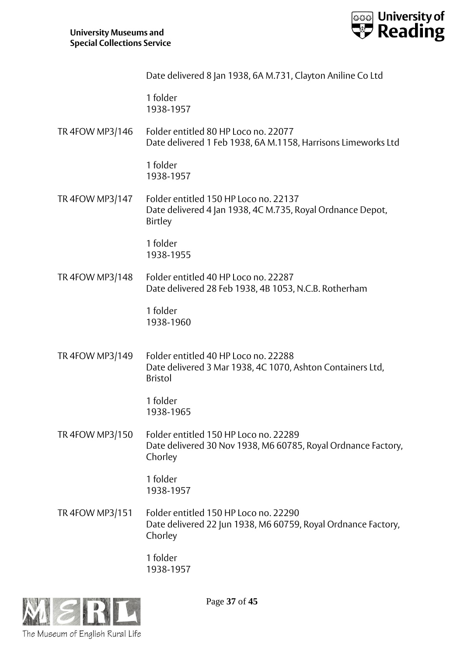

Date delivered 8 Jan 1938, 6A M.731, Clayton Aniline Co Ltd

1 folder 1938-1957

TR 4FOW MP3/146 Folder entitled 80 HP Loco no. 22077 Date delivered 1 Feb 1938, 6A M.1158, Harrisons Limeworks Ltd

> 1 folder 1938-1957

TR 4FOW MP3/147 Folder entitled 150 HP Loco no. 22137 Date delivered 4 Jan 1938, 4C M.735, Royal Ordnance Depot, Birtley

> 1 folder 1938-1955

TR 4FOW MP3/148 Folder entitled 40 HP Loco no. 22287 Date delivered 28 Feb 1938, 4B 1053, N.C.B. Rotherham

> 1 folder 1938-1960

TR 4FOW MP3/149 Folder entitled 40 HP Loco no. 22288 Date delivered 3 Mar 1938, 4C 1070, Ashton Containers Ltd, Bristol

> 1 folder 1938-1965

TR 4FOW MP3/150 Folder entitled 150 HP Loco no. 22289 Date delivered 30 Nov 1938, M6 60785, Royal Ordnance Factory, Chorley

> 1 folder 1938-1957

TR 4FOW MP3/151 Folder entitled 150 HP Loco no. 22290 Date delivered 22 Jun 1938, M6 60759, Royal Ordnance Factory, Chorley

> 1 folder 1938-1957



Page **37** of **45**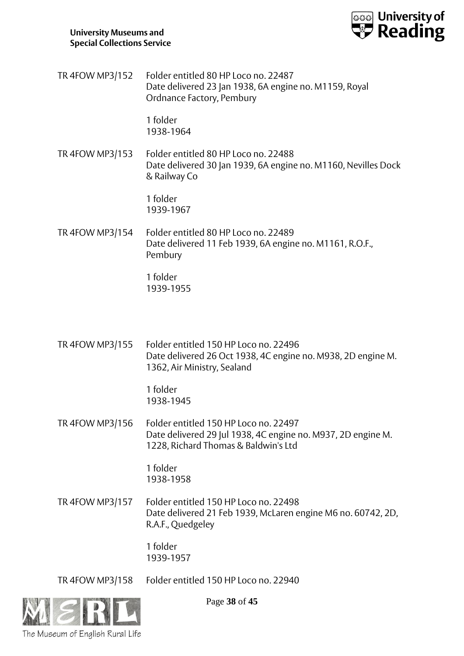

TR 4FOW MP3/152 Folder entitled 80 HP Loco no. 22487 Date delivered 23 Jan 1938, 6A engine no. M1159, Royal Ordnance Factory, Pembury

> 1 folder 1938-1964

TR 4FOW MP3/153 Folder entitled 80 HP Loco no. 22488 Date delivered 30 Jan 1939, 6A engine no. M1160, Nevilles Dock & Railway Co

> 1 folder 1939-1967

TR 4FOW MP3/154 Folder entitled 80 HP Loco no. 22489 Date delivered 11 Feb 1939, 6A engine no. M1161, R.O.F., Pembury

> 1 folder 1939-1955

TR 4FOW MP3/155 Folder entitled 150 HP Loco no. 22496 Date delivered 26 Oct 1938, 4C engine no. M938, 2D engine M. 1362, Air Ministry, Sealand

> 1 folder 1938-1945

TR 4FOW MP3/156 Folder entitled 150 HP Loco no. 22497 Date delivered 29 Jul 1938, 4C engine no. M937, 2D engine M. 1228, Richard Thomas & Baldwin's Ltd

> 1 folder 1938-1958

TR 4FOW MP3/157 Folder entitled 150 HP Loco no. 22498 Date delivered 21 Feb 1939, McLaren engine M6 no. 60742, 2D, R.A.F., Quedgeley

> 1 folder 1939-1957

TR 4FOW MP3/158 Folder entitled 150 HP Loco no. 22940



Page **38** of **45**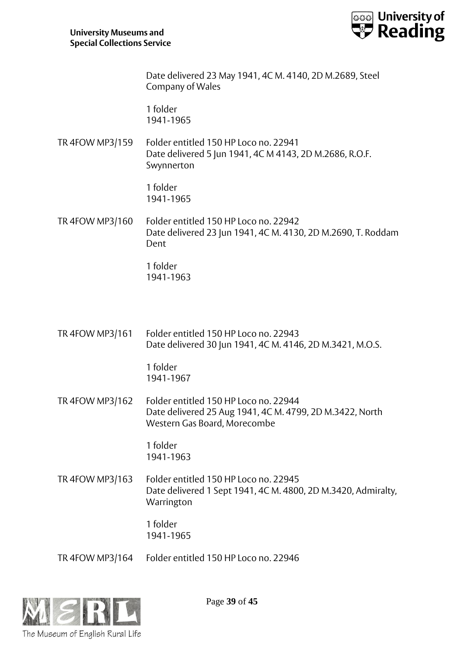

Date delivered 23 May 1941, 4C M. 4140, 2D M.2689, Steel Company of Wales

1 folder 1941-1965

TR 4FOW MP3/159 Folder entitled 150 HP Loco no. 22941 Date delivered 5 Jun 1941, 4C M 4143, 2D M.2686, R.O.F. Swynnerton

> 1 folder 1941-1965

TR 4FOW MP3/160 Folder entitled 150 HP Loco no. 22942 Date delivered 23 Jun 1941, 4C M. 4130, 2D M.2690, T. Roddam Dent

> 1 folder 1941-1963

TR 4FOW MP3/161 Folder entitled 150 HP Loco no. 22943 Date delivered 30 Jun 1941, 4C M. 4146, 2D M.3421, M.O.S.

> 1 folder 1941-1967

TR 4FOW MP3/162 Folder entitled 150 HP Loco no. 22944 Date delivered 25 Aug 1941, 4C M. 4799, 2D M.3422, North Western Gas Board, Morecombe

> 1 folder 1941-1963

TR 4FOW MP3/163 Folder entitled 150 HP Loco no. 22945 Date delivered 1 Sept 1941, 4C M. 4800, 2D M.3420, Admiralty, Warrington

> 1 folder 1941-1965

TR 4FOW MP3/164 Folder entitled 150 HP Loco no. 22946



Page **39** of **45**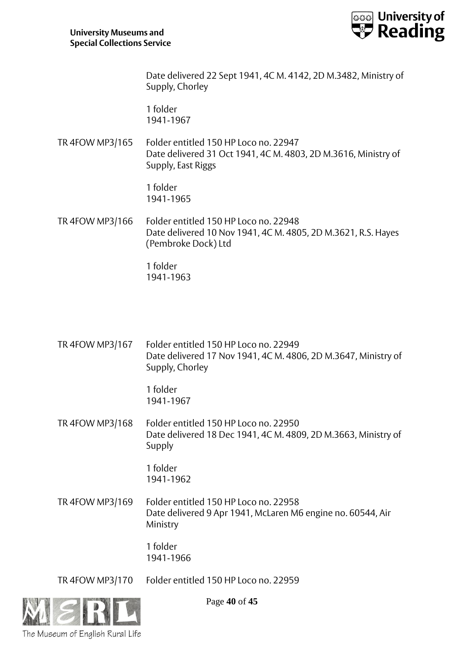

Date delivered 22 Sept 1941, 4C M. 4142, 2D M.3482, Ministry of Supply, Chorley

1 folder 1941-1967

TR 4FOW MP3/165 Folder entitled 150 HP Loco no. 22947 Date delivered 31 Oct 1941, 4C M. 4803, 2D M.3616, Ministry of Supply, East Riggs

> 1 folder 1941-1965

TR 4FOW MP3/166 Folder entitled 150 HP Loco no. 22948 Date delivered 10 Nov 1941, 4C M. 4805, 2D M.3621, R.S. Hayes (Pembroke Dock) Ltd

> 1 folder 1941-1963

TR 4FOW MP3/167 Folder entitled 150 HP Loco no. 22949 Date delivered 17 Nov 1941, 4C M. 4806, 2D M.3647, Ministry of Supply, Chorley

> 1 folder 1941-1967

TR 4FOW MP3/168 Folder entitled 150 HP Loco no. 22950 Date delivered 18 Dec 1941, 4C M. 4809, 2D M.3663, Ministry of Supply

> 1 folder 1941-1962

TR 4FOW MP3/169 Folder entitled 150 HP Loco no. 22958 Date delivered 9 Apr 1941, McLaren M6 engine no. 60544, Air Ministry

> 1 folder 1941-1966

TR 4FOW MP3/170 Folder entitled 150 HP Loco no. 22959



Page **40** of **45**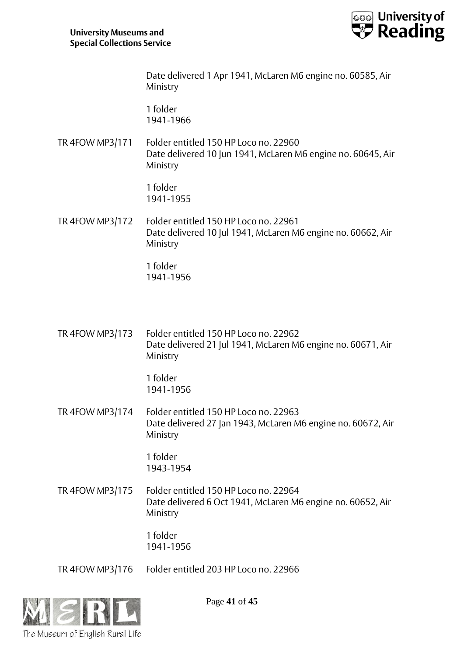

Date delivered 1 Apr 1941, McLaren M6 engine no. 60585, Air Ministry

1 folder 1941-1966

TR 4FOW MP3/171 Folder entitled 150 HP Loco no. 22960 Date delivered 10 Jun 1941, McLaren M6 engine no. 60645, Air Ministry

> 1 folder 1941-1955

TR 4FOW MP3/172 Folder entitled 150 HP Loco no. 22961 Date delivered 10 Jul 1941, McLaren M6 engine no. 60662, Air Ministry

> 1 folder 1941-1956

TR 4FOW MP3/173 Folder entitled 150 HP Loco no. 22962 Date delivered 21 Jul 1941, McLaren M6 engine no. 60671, Air Ministry

> 1 folder 1941-1956

TR 4FOW MP3/174 Folder entitled 150 HP Loco no. 22963 Date delivered 27 Jan 1943, McLaren M6 engine no. 60672, Air Ministry

> 1 folder 1943-1954

TR 4FOW MP3/175 Folder entitled 150 HP Loco no. 22964 Date delivered 6 Oct 1941, McLaren M6 engine no. 60652, Air Ministry

> 1 folder 1941-1956

TR 4FOW MP3/176 Folder entitled 203 HP Loco no. 22966



Page **41** of **45**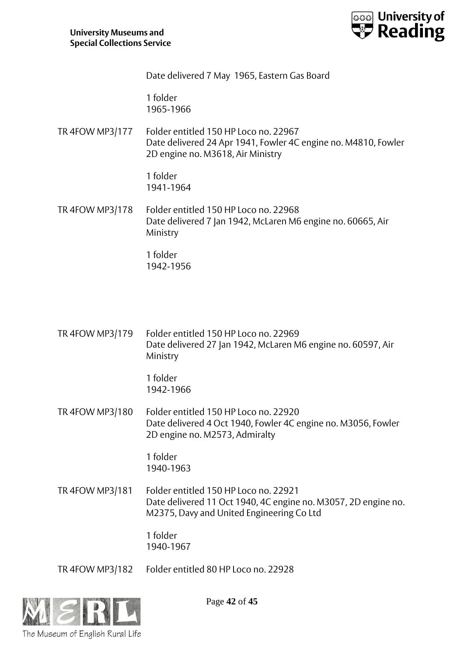

Date delivered 7 May 1965, Eastern Gas Board

1 folder 1965-1966

TR 4FOW MP3/177 Folder entitled 150 HP Loco no. 22967 Date delivered 24 Apr 1941, Fowler 4C engine no. M4810, Fowler 2D engine no. M3618, Air Ministry

> 1 folder 1941-1964

TR 4FOW MP3/178 Folder entitled 150 HP Loco no. 22968 Date delivered 7 Jan 1942, McLaren M6 engine no. 60665, Air Ministry

> 1 folder 1942-1956

TR 4FOW MP3/179 Folder entitled 150 HP Loco no. 22969 Date delivered 27 Jan 1942, McLaren M6 engine no. 60597, Air Ministry

> 1 folder 1942-1966

TR 4FOW MP3/180 Folder entitled 150 HP Loco no. 22920 Date delivered 4 Oct 1940, Fowler 4C engine no. M3056, Fowler 2D engine no. M2573, Admiralty

> 1 folder 1940-1963

TR 4FOW MP3/181 Folder entitled 150 HP Loco no. 22921 Date delivered 11 Oct 1940, 4C engine no. M3057, 2D engine no. M2375, Davy and United Engineering Co Ltd

> 1 folder 1940-1967

TR 4FOW MP3/182 Folder entitled 80 HP Loco no. 22928



Page **42** of **45**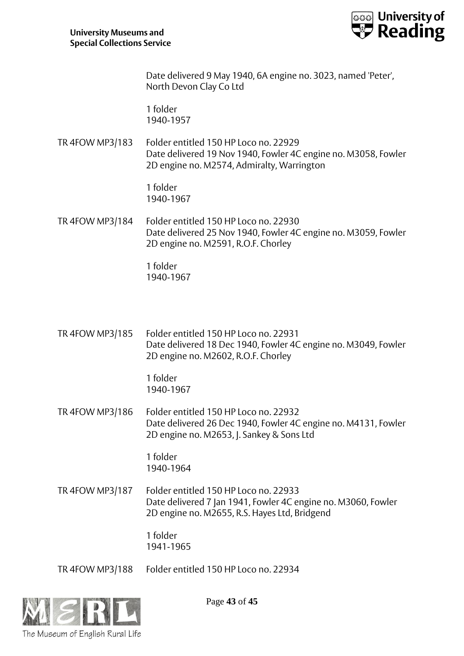

Date delivered 9 May 1940, 6A engine no. 3023, named 'Peter', North Devon Clay Co Ltd

1 folder 1940-1957

TR 4FOW MP3/183 Folder entitled 150 HP Loco no. 22929 Date delivered 19 Nov 1940, Fowler 4C engine no. M3058, Fowler 2D engine no. M2574, Admiralty, Warrington

> 1 folder 1940-1967

TR 4FOW MP3/184 Folder entitled 150 HP Loco no. 22930 Date delivered 25 Nov 1940, Fowler 4C engine no. M3059, Fowler 2D engine no. M2591, R.O.F. Chorley

> 1 folder 1940-1967

TR 4FOW MP3/185 Folder entitled 150 HP Loco no. 22931 Date delivered 18 Dec 1940, Fowler 4C engine no. M3049, Fowler 2D engine no. M2602, R.O.F. Chorley

> 1 folder 1940-1967

TR 4FOW MP3/186 Folder entitled 150 HP Loco no. 22932 Date delivered 26 Dec 1940, Fowler 4C engine no. M4131, Fowler 2D engine no. M2653, J. Sankey & Sons Ltd

> 1 folder 1940-1964

TR 4FOW MP3/187 Folder entitled 150 HP Loco no. 22933 Date delivered 7 Jan 1941, Fowler 4C engine no. M3060, Fowler 2D engine no. M2655, R.S. Hayes Ltd, Bridgend

> 1 folder 1941-1965

TR 4FOW MP3/188 Folder entitled 150 HP Loco no. 22934



Page **43** of **45**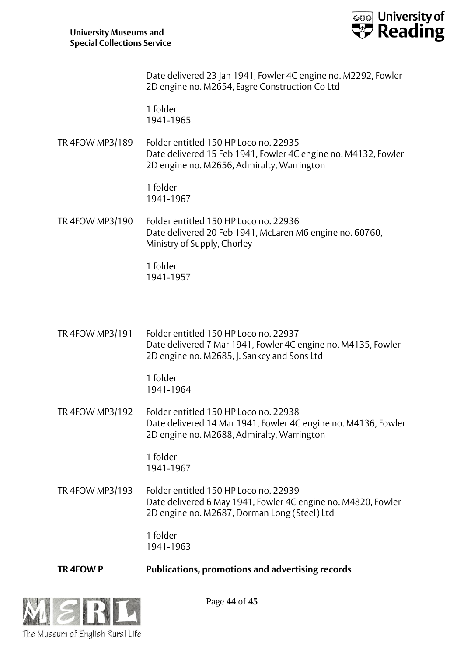

Date delivered 23 Jan 1941, Fowler 4C engine no. M2292, Fowler 2D engine no. M2654, Eagre Construction Co Ltd

1 folder 1941-1965

TR 4FOW MP3/189 Folder entitled 150 HP Loco no. 22935 Date delivered 15 Feb 1941, Fowler 4C engine no. M4132, Fowler 2D engine no. M2656, Admiralty, Warrington

> 1 folder 1941-1967

TR 4FOW MP3/190 Folder entitled 150 HP Loco no. 22936 Date delivered 20 Feb 1941, McLaren M6 engine no. 60760, Ministry of Supply, Chorley

> 1 folder 1941-1957

TR 4FOW MP3/191 Folder entitled 150 HP Loco no. 22937 Date delivered 7 Mar 1941, Fowler 4C engine no. M4135, Fowler 2D engine no. M2685, J. Sankey and Sons Ltd

> 1 folder 1941-1964

TR 4FOW MP3/192 Folder entitled 150 HP Loco no. 22938 Date delivered 14 Mar 1941, Fowler 4C engine no. M4136, Fowler 2D engine no. M2688, Admiralty, Warrington

> 1 folder 1941-1967

TR 4FOW MP3/193 Folder entitled 150 HP Loco no. 22939 Date delivered 6 May 1941, Fowler 4C engine no. M4820, Fowler 2D engine no. M2687, Dorman Long (Steel) Ltd

> 1 folder 1941-1963

**TR 4FOW P Publications, promotions and advertising records**



Page **44** of **45**